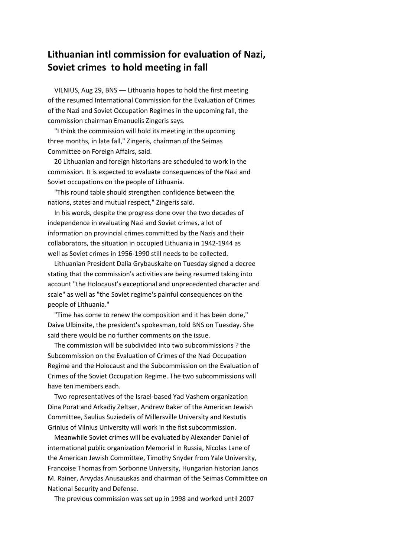## **Lithuanian intl commission for evaluation of Nazi, Soviet crimes to hold meeting in fall**

VILNIUS, Aug 29, BNS ― Lithuania hopes to hold the first meeting of the resumed International Commission for the Evaluation of Crimes of the Nazi and Soviet Occupation Regimes in the upcoming fall, the commission chairman Emanuelis Zingeris says.

"I think the commission will hold its meeting in the upcoming three months, in late fall," Zingeris, chairman of the Seimas Committee on Foreign Affairs, said.

20 Lithuanian and foreign historians are scheduled to work in the commission. It is expected to evaluate consequences of the Nazi and Soviet occupations on the people of Lithuania.

"This round table should strengthen confidence between the nations, states and mutual respect," Zingeris said.

In his words, despite the progress done over the two decades of independence in evaluating Nazi and Soviet crimes, a lot of information on provincial crimes committed by the Nazis and their collaborators, the situation in occupied Lithuania in 1942-1944 as well as Soviet crimes in 1956-1990 still needs to be collected.

Lithuanian President Dalia Grybauskaite on Tuesday signed a decree stating that the commission's activities are being resumed taking into account "the Holocaust's exceptional and unprecedented character and scale" as well as "the Soviet regime's painful consequences on the people of Lithuania."

"Time has come to renew the composition and it has been done," Daiva Ulbinaite, the president's spokesman, told BNS on Tuesday. She said there would be no further comments on the issue.

The commission will be subdivided into two subcommissions ? the Subcommission on the Evaluation of Crimes of the Nazi Occupation Regime and the Holocaust and the Subcommission on the Evaluation of Crimes of the Soviet Occupation Regime. The two subcommissions will have ten members each.

Two representatives of the Israel-based Yad Vashem organization Dina Porat and Arkadiy Zeltser, Andrew Baker of the American Jewish Committee, Saulius Suziedelis of Millersville University and Kestutis Grinius of Vilnius University will work in the fist subcommission.

Meanwhile Soviet crimes will be evaluated by Alexander Daniel of international public organization Memorial in Russia, Nicolas Lane of the American Jewish Committee, Timothy Snyder from Yale University, Francoise Thomas from Sorbonne University, Hungarian historian Janos M. Rainer, Arvydas Anusauskas and chairman of the Seimas Committee on National Security and Defense.

The previous commission was set up in 1998 and worked until 2007